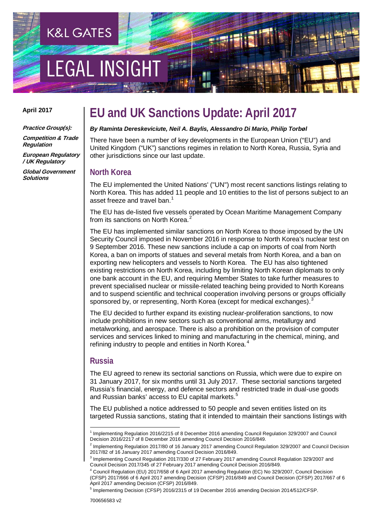# **EGAL INSIGH**

**K&L GATES** 

#### **April 2017**

**Practice Group(s):**

**Competition & Trade Regulation**

**European Regulatory / UK Regulatory**

**Global Government Solutions** 

## **EU and UK Sanctions Update: April 2017**

#### *By Raminta Dereskeviciute, Neil A. Baylis, Alessandro Di Mario, Philip Torbøl*

There have been a number of key developments in the European Union ("EU") and United Kingdom ("UK") sanctions regimes in relation to North Korea, Russia, Syria and other jurisdictions since our last update.

## **North Korea**

The EU implemented the United Nations' ("UN") most recent sanctions listings relating to North Korea. This has added 11 people and 10 entities to the list of persons subject to an asset freeze and travel ban.<sup>[1](#page-0-0)</sup>

The EU has de-listed five vessels operated by Ocean Maritime Management Company from its sanctions on North Korea.<sup>[2](#page-0-1)</sup>

The EU has implemented similar sanctions on North Korea to those imposed by the UN Security Council imposed in November 2016 in response to North Korea's nuclear test on 9 September 2016. These new sanctions include a cap on imports of coal from North Korea, a ban on imports of statues and several metals from North Korea, and a ban on exporting new helicopters and vessels to North Korea. The EU has also tightened existing restrictions on North Korea, including by limiting North Korean diplomats to only one bank account in the EU, and requiring Member States to take further measures to prevent specialised nuclear or missile-related teaching being provided to North Koreans and to suspend scientific and technical cooperation involving persons or groups officially sponsored by, or representing, North Korea (except for medical exchanges).<sup>[3](#page-0-2)</sup>

The EU decided to further expand its existing nuclear-proliferation sanctions, to now include prohibitions in new sectors such as conventional arms, metallurgy and metalworking, and aerospace. There is also a prohibition on the provision of computer services and services linked to mining and manufacturing in the chemical, mining, and refining industry to people and entities in North Korea.<sup>[4](#page-0-3)</sup>

## **Russia**

The EU agreed to renew its sectorial sanctions on Russia, which were due to expire on 31 January 2017, for six months until 31 July 2017. These sectorial sanctions targeted Russia's financial, energy, and defence sectors and restricted trade in dual-use goods and Russian banks' access to EU capital markets.<sup>[5](#page-0-4)</sup>

The EU published a notice addressed to 50 people and seven entities listed on its targeted Russia sanctions, stating that it intended to maintain their sanctions listings with

<span id="page-0-0"></span> $<sup>1</sup>$  Implementing Regulation 2016/2215 of 8 December 2016 amending Council Regulation 329/2007 and Council</sup> Decision 2016/2217 of 8 December 2016 amending Council Decision 2016/849.

<span id="page-0-1"></span><sup>2</sup> Implementing Regulation 2017/80 of 16 January 2017 amending Council Regulation 329/2007 and Council Decision 2017/82 of 16 January 2017 amending Council Decision 2016/849.

<span id="page-0-2"></span><sup>3</sup> Implementing Council Regulation 2017/330 of 27 February 2017 amending Council Regulation 329/2007 and Council Decision 2017/345 of 27 February 2017 amending Council Decision 2016/849.

<span id="page-0-3"></span><sup>4</sup> Council Regulation (EU) 2017/658 of 6 April 2017 amending Regulation (EC) No 329/2007, Council Decision (CFSP) 2017/666 of 6 April 2017 amending Decision (CFSP) 2016/849 and Council Decision (CFSP) 2017/667 of 6 April 2017 amending Decision (CFSP) 2016/849.

<span id="page-0-4"></span><sup>5</sup> Implementing Decision (CFSP) 2016/2315 of 19 December 2016 amending Decision 2014/512/CFSP.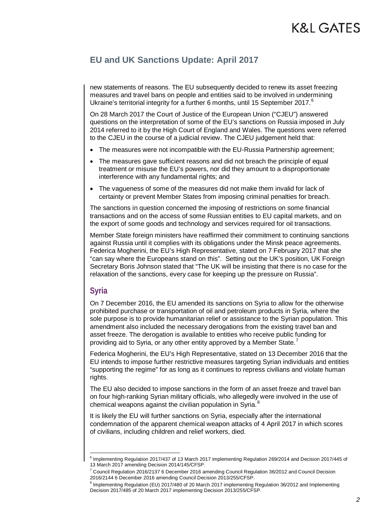new statements of reasons. The EU subsequently decided to renew its asset freezing measures and travel bans on people and entities said to be involved in undermining Ukraine's territorial integrity for a further [6](#page-1-0) months, until 15 September 2017.<sup>6</sup>

On 28 March 2017 the Court of Justice of the European Union ("CJEU") answered questions on the interpretation of some of the EU's sanctions on Russia imposed in July 2014 referred to it by the High Court of England and Wales. The questions were referred to the CJEU in the course of a judicial review. The CJEU judgement held that:

- The measures were not incompatible with the EU-Russia Partnership agreement;
- The measures gave sufficient reasons and did not breach the principle of equal treatment or misuse the EU's powers, nor did they amount to a disproportionate interference with any fundamental rights; and
- The vagueness of some of the measures did not make them invalid for lack of certainty or prevent Member States from imposing criminal penalties for breach.

The sanctions in question concerned the imposing of restrictions on some financial transactions and on the access of some Russian entities to EU capital markets, and on the export of some goods and technology and services required for oil transactions.

Member State foreign ministers have reaffirmed their commitment to continuing sanctions against Russia until it complies with its obligations under the Minsk peace agreements. Federica Mogherini, the EU's High Representative, stated on 7 February 2017 that she "can say where the Europeans stand on this". Setting out the UK's position, UK Foreign Secretary Boris Johnson stated that "The UK will be insisting that there is no case for the relaxation of the sanctions, every case for keeping up the pressure on Russia".

## **Syria**

On 7 December 2016, the EU amended its sanctions on Syria to allow for the otherwise prohibited purchase or transportation of oil and petroleum products in Syria, where the sole purpose is to provide humanitarian relief or assistance to the Syrian population. This amendment also included the necessary derogations from the existing travel ban and asset freeze. The derogation is available to entities who receive public funding for providing aid to Syria, or any other entity approved by a Member State.

Federica Mogherini, the EU's High Representative, stated on 13 December 2016 that the EU intends to impose further restrictive measures targeting Syrian individuals and entities "supporting the regime" for as long as it continues to repress civilians and violate human rights.

The EU also decided to impose sanctions in the form of an asset freeze and travel ban on four high-ranking Syrian military officials, who allegedly were involved in the use of chemical weapons against the civilian population in Syria.<sup>[8](#page-1-2)</sup>

It is likely the EU will further sanctions on Syria, especially after the international condemnation of the apparent chemical weapon attacks of 4 April 2017 in which scores of civilians, including children and relief workers, died.

<span id="page-1-0"></span><sup>6</sup> Implementing Regulation 2017/437 of 13 March 2017 implementing Regulation 269/2014 and Decision 2017/445 of 13 March 2017 amending Decision 2014/145/CFSP.

<span id="page-1-1"></span> $7$  Council Regulation 2016/2137 6 December 2016 amending Council Regulation 36/2012 and Council Decision 2016/2144 6 December 2016 amending Council Decision 2013/255/CFSP.

<span id="page-1-2"></span><sup>&</sup>lt;sup>8</sup> Implementing Regulation (EU) 2017/480 of 20 March 2017 implementing Regulation 36/2012 and Implementing Decision 2017/485 of 20 March 2017 implementing Decision 2013/255/CFSP.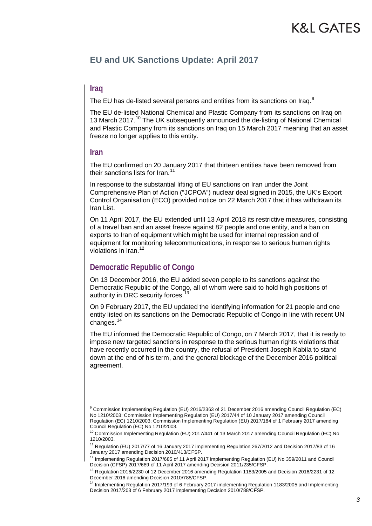## **K&L GATES**

## **EU and UK Sanctions Update: April 2017**

## **Iraq**

The EU has de-listed several persons and entities from its sanctions on Iraq.<sup>[9](#page-2-0)</sup>

The EU de-listed National Chemical and Plastic Company from its sanctions on Iraq on 13 March 2017.<sup>[10](#page-2-1)</sup> The UK subsequently announced the de-listing of National Chemical and Plastic Company from its sanctions on Iraq on 15 March 2017 meaning that an asset freeze no longer applies to this entity.

#### **Iran**

The EU confirmed on 20 January 2017 that thirteen entities have been removed from their sanctions lists for Iran.<sup>[11](#page-2-2)</sup>

In response to the substantial lifting of EU sanctions on Iran under the Joint Comprehensive Plan of Action ("JCPOA") nuclear deal signed in 2015, the UK's Export Control Organisation (ECO) provided notice on 22 March 2017 that it has withdrawn its Iran List.

On 11 April 2017, the EU extended until 13 April 2018 its restrictive measures, consisting of a travel ban and an asset freeze against 82 people and one entity, and a ban on exports to Iran of equipment which might be used for internal repression and of equipment for monitoring telecommunications, in response to serious human rights violations in Iran.<sup>[12](#page-2-3)</sup>

## **Democratic Republic of Congo**

On 13 December 2016, the EU added seven people to its sanctions against the Democratic Republic of the Congo, all of whom were said to hold high positions of authority in DRC security forces.<sup>1</sup>

On 9 February 2017, the EU updated the identifying information for 21 people and one entity listed on its sanctions on the Democratic Republic of Congo in line with recent UN changes.<sup>[14](#page-2-5)</sup>

The EU informed the Democratic Republic of Congo, on 7 March 2017, that it is ready to impose new targeted sanctions in response to the serious human rights violations that have recently occurred in the country, the refusal of President Joseph Kabila to stand down at the end of his term, and the general blockage of the December 2016 political agreement.

<span id="page-2-0"></span><sup>9</sup> Commission Implementing Regulation (EU) 2016/2363 of 21 December 2016 amending Council Regulation (EC) No 1210/2003; Commission Implementing Regulation (EU) 2017/44 of 10 January 2017 amending Council Regulation (EC) 1210/2003; Commission Implementing Regulation (EU) 2017/184 of 1 February 2017 amending Council Regulation (EC) No 1210/2003.

<span id="page-2-1"></span><sup>&</sup>lt;sup>10</sup> Commission Implementing Regulation (EU) 2017/441 of 13 March 2017 amending Council Regulation (EC) No 1210/2003.

<span id="page-2-2"></span><sup>&</sup>lt;sup>11</sup> Regulation (EU) 2017/77 of 16 January 2017 implementing Regulation 267/2012 and Decision 2017/83 of 16 January 2017 amending Decision 2010/413/CFSP.

<span id="page-2-3"></span><sup>&</sup>lt;sup>12</sup> Implementing Regulation 2017/685 of 11 April 2017 implementing Regulation (EU) No 359/2011 and Council Decision (CFSP) 2017/689 of 11 April 2017 amending Decision 2011/235/CFSP.

<span id="page-2-4"></span> $13$  Regulation 2016/2230 of 12 December 2016 amending Regulation 1183/2005 and Decision 2016/2231 of 12 December 2016 amending Decision 2010/788/CFSP.

<span id="page-2-5"></span><sup>&</sup>lt;sup>14</sup> Implementing Regulation 2017/199 of 6 February 2017 implementing Regulation 1183/2005 and Implementing Decision 2017/203 of 6 February 2017 implementing Decision 2010/788/CFSP.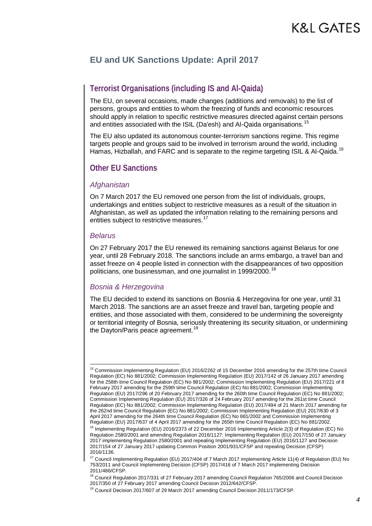## **Terrorist Organisations (including IS and Al-Qaida)**

The EU, on several occasions, made changes (additions and removals) to the list of persons, groups and entities to whom the freezing of funds and economic resources should apply in relation to specific restrictive measures directed against certain persons and entities associated with the ISIL (Da'esh) and Al-Qaida organisations.<sup>[15](#page-3-0)</sup>

The EU also updated its autonomous counter-terrorism sanctions regime. This regime targets people and groups said to be involved in terrorism around the world, including Hamas, Hizballah, and FARC and is separate to the regime targeting ISIL & Al-Qaida.<sup>[16](#page-3-1)</sup>

## **Other EU Sanctions**

## *Afghanistan*

On 7 March 2017 the EU removed one person from the list of individuals, groups, undertakings and entities subject to restrictive measures as a result of the situation in Afghanistan, as well as updated the information relating to the remaining persons and entities subject to restrictive measures.<sup>[17](#page-3-2)</sup>

## *Belarus*

On 27 February 2017 the EU renewed its remaining sanctions against Belarus for one year, until 28 February 2018. The sanctions include an arms embargo, a travel ban and asset freeze on 4 people listed in connection with the disappearances of two opposition politicians, one businessman, and one journalist in 1999/2000.<sup>[18](#page-3-3)</sup>

## *Bosnia & Herzegovina*

The EU decided to extend its sanctions on Bosnia & Herzegovina for one year, until 31 March 2018. The sanctions are an asset freeze and travel ban, targeting people and entities, and those associated with them, considered to be undermining the sovereignty or territorial integrity of Bosnia, seriously threatening its security situation, or undermining the Dayton/Paris peace agreement.<sup>[19](#page-3-4)</sup>

<span id="page-3-0"></span><sup>&</sup>lt;sup>15</sup> Commission Implementing Regulation (EU) 2016/2262 of 15 December 2016 amending for the 257th time Council Regulation (EC) No 881/2002; Commission Implementing Regulation (EU) 2017/142 of 26 January 2017 amending for the 258th time Council Regulation (EC) No 881/2002; Commission Implementing Regulation (EU) 2017/221 of 8 February 2017 amending for the 259th time Council Regulation (EC) No 881/2002; Commission Implementing Regulation (EU) 2017/296 of 20 February 2017 amending for the 260th time Council Regulation (EC) No 881/2002; Commission Implementing Regulation (EU) 2017/326 of 24 February 2017 amending for the 261st time Council Regulation (EC) No 881/2002; Commission Implementing Regulation (EU) 2017/494 of 21 March 2017 amending for the 262nd time Council Regulation (EC) No 881/2002; Commission Implementing Regulation (EU) 2017/630 of 3 April 2017 amending for the 264th time Council Regulation (EC) No 881/2002 and Commission Implementing Regulation (EU) 2017/637 of 4 April 2017 amending for the 265th time Council Regulation (EC) No 881/2002.

<span id="page-3-1"></span><sup>&</sup>lt;sup>16</sup> Implementing Regulation (EU) 2016/2373 of 22 December 2016 Implementing Article 2(3) of Regulation (EC) No Regulation 2580/2001 and amending Regulation 2016/1127; Implementing Regulation (EU) 2017/150 of 27 January 2017 implementing Regulation 2580/2001 and repealing Implementing Regulation (EU) 2016/1127 and Decision 2017/154 of 27 January 2017 updating Common Position 2001/931/CFSP and repealing Decision (CFSP) 2016/1136.

<span id="page-3-2"></span><sup>&</sup>lt;sup>17</sup> Council Implementing Regulation (EU) 2017/404 of 7 March 2017 implementing Article 11(4) of Regulation (EU) No 753/2011 and Council Implementing Decision (CFSP) 2017/416 of 7 March 2017 implementing Decision 2011/486/CFSP.

<span id="page-3-3"></span><sup>&</sup>lt;sup>18</sup> Council Regulation 2017/331 of 27 February 2017 amending Council Regulation 765/2006 and Council Decision 2017/350 of 27 February 2017 amending Council Decision 2012/642/CFSP.

<span id="page-3-4"></span><sup>&</sup>lt;sup>19</sup> Council Decision 2017/607 of 29 March 2017 amending Council Decision 2011/173/CFSP.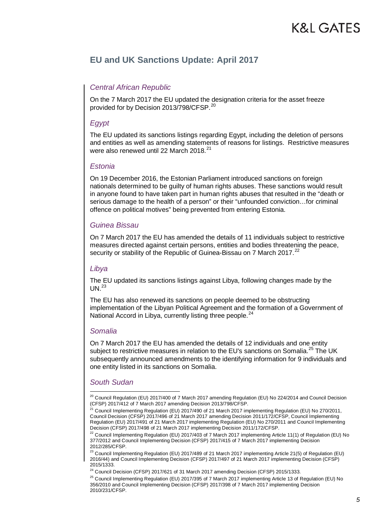## *Central African Republic*

On the 7 March 2017 the EU updated the designation criteria for the asset freeze provided for by Decision [20](#page-4-0)13/798/CFSP.<sup>20</sup>

## *Egypt*

The EU updated its sanctions listings regarding Egypt, including the deletion of persons and entities as well as amending statements of reasons for listings. Restrictive measures were also renewed until 22 March 2018.<sup>[21](#page-4-1)</sup>

## *Estonia*

On 19 December 2016, the Estonian Parliament introduced sanctions on foreign nationals determined to be guilty of human rights abuses. These sanctions would result in anyone found to have taken part in human rights abuses that resulted in the "death or serious damage to the health of a person" or their "unfounded conviction…for criminal offence on political motives" being prevented from entering Estonia.

## *Guinea Bissau*

On 7 March 2017 the EU has amended the details of 11 individuals subject to restrictive measures directed against certain persons, entities and bodies threatening the peace, security or stability of the Republic of Guinea-Bissau on 7 March 2017.<sup>[22](#page-4-2)</sup>

## *Libya*

The EU updated its sanctions listings against Libya, following changes made by the  $UN.<sup>23</sup>$  $UN.<sup>23</sup>$  $UN.<sup>23</sup>$ 

The EU has also renewed its sanctions on people deemed to be obstructing implementation of the Libyan Political Agreement and the formation of a Government of National Accord in Libya, currently listing three people.<sup>[24](#page-4-4)</sup>

## *Somalia*

On 7 March 2017 the EU has amended the details of 12 individuals and one entity subject to restrictive measures in relation to the EU's sanctions on Somalia.<sup>[25](#page-4-5)</sup> The UK subsequently announced amendments to the identifying information for 9 individuals and one entity listed in its sanctions on Somalia.

## *South Sudan*

<span id="page-4-3"></span> $^{23}$  Council Implementing Regulation (EU) 2017/489 of 21 March 2017 implementing Article 21(5) of Regulation (EU) 2016/44) and Council Implementing Decision (CFSP) 2017/497 of 21 March 2017 implementing Decision (CFSP) 2015/1333.

<span id="page-4-4"></span> $24$  Council Decision (CFSP) 2017/621 of 31 March 2017 amending Decision (CFSP) 2015/1333.

<span id="page-4-5"></span><sup>25</sup> Council Implementing Regulation (EU) 2017/395 of 7 March 2017 implementing Article 13 of Regulation (EU) No 356/2010 and Council Implementing Decision (CFSP) 2017/398 of 7 March 2017 implementing Decision 2010/231/CFSP.

<span id="page-4-0"></span><sup>&</sup>lt;sup>20</sup> Council Regulation (EU) 2017/400 of 7 March 2017 amending Regulation (EU) No 224/2014 and Council Decision (CFSP) 2017/412 of 7 March 2017 amending Decision 2013/798/CFSP.

<span id="page-4-1"></span><sup>21</sup> Council Implementing Regulation (EU) 2017/490 of 21 March 2017 implementing Regulation (EU) No 270/2011, Council Decision (CFSP) 2017/496 of 21 March 2017 amending Decision 2011/172/CFSP, Council Implementing Regulation (EU) 2017/491 of 21 March 2017 implementing Regulation (EU) No 270/2011 and Council Implementing Decision (CFSP) 2017/498 of 21 March 2017 implementing Decision 2011/172/CFSP.

<span id="page-4-2"></span><sup>&</sup>lt;sup>22</sup> Council Implementing Regulation (EU) 2017/403 of 7 March 2017 implementing Article 11(1) of Regulation (EU) No 377/2012 and Council Implementing Decision (CFSP) 2017/415 of 7 March 2017 implementing Decision 2012/285/CFSP.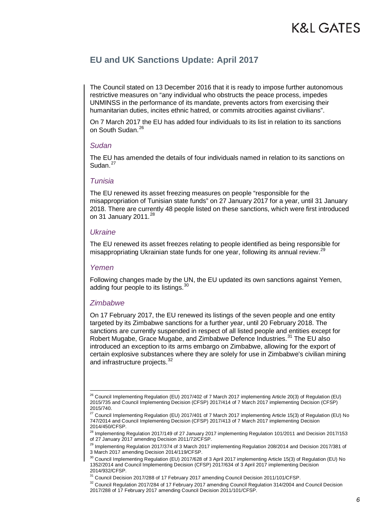The Council stated on 13 December 2016 that it is ready to impose further autonomous restrictive measures on "any individual who obstructs the peace process, impedes UNMINSS in the performance of its mandate, prevents actors from exercising their humanitarian duties, incites ethnic hatred, or commits atrocities against civilians".

On 7 March 2017 the EU has added four individuals to its list in relation to its sanctions on South Sudan.<sup>[26](#page-5-0)</sup>

#### *Sudan*

The EU has amended the details of four individuals named in relation to its sanctions on Sudan.<sup>[27](#page-5-1)</sup>

#### *Tunisia*

The EU renewed its asset freezing measures on people "responsible for the misappropriation of Tunisian state funds" on 27 January 2017 for a year, until 31 January 2018. There are currently 48 people listed on these sanctions, which were first introduced on 31 January 2011. $^{28}$  $^{28}$  $^{28}$ 

#### *Ukraine*

The EU renewed its asset freezes relating to people identified as being responsible for misappropriating Ukrainian state funds for one year, following its annual review.<sup>[29](#page-5-3)</sup>

#### *Yemen*

Following changes made by the UN, the EU updated its own sanctions against Yemen, adding four people to its listings.<sup>[30](#page-5-4)</sup>

#### *Zimbabwe*

On 17 February 2017, the EU renewed its listings of the seven people and one entity targeted by its Zimbabwe sanctions for a further year, until 20 February 2018. The sanctions are currently suspended in respect of all listed people and entities except for Robert Mugabe, Grace Mugabe, and Zimbabwe Defence Industries.<sup>[31](#page-5-5)</sup> The EU also introduced an exception to its arms embargo on Zimbabwe, allowing for the export of certain explosive substances where they are solely for use in Zimbabwe's civilian mining and infrastructure projects.<sup>[32](#page-5-6)</sup>

<span id="page-5-0"></span><sup>&</sup>lt;sup>26</sup> Council Implementing Regulation (EU) 2017/402 of 7 March 2017 implementing Article 20(3) of Regulation (EU) 2015/735 and Council Implementing Decision (CFSP) 2017/414 of 7 March 2017 implementing Decision (CFSP) 2015/740.

<span id="page-5-1"></span><sup>&</sup>lt;sup>27</sup> Council Implementing Regulation (EU) 2017/401 of 7 March 2017 implementing Article 15(3) of Regulation (EU) No 747/2014 and Council Implementing Decision (CFSP) 2017/413 of 7 March 2017 implementing Decision 2014/450/CFSP.

<span id="page-5-2"></span><sup>&</sup>lt;sup>28</sup> Implementing Regulation 2017/149 of 27 January 2017 implementing Regulation 101/2011 and Decision 2017/153 of 27 January 2017 amending Decision 2011/72/CFSP.

<span id="page-5-3"></span><sup>&</sup>lt;sup>29</sup> Implementing Regulation 2017/374 of 3 March 2017 implementing Regulation 208/2014 and Decision 2017/381 of 3 March 2017 amending Decision 2014/119/CFSP.

<span id="page-5-4"></span><sup>&</sup>lt;sup>30</sup> Council Implementing Regulation (EU) 2017/628 of 3 April 2017 implementing Article 15(3) of Regulation (EU) No 1352/2014 and Council Implementing Decision (CFSP) 2017/634 of 3 April 2017 implementing Decision 2014/932/CFSP.

<sup>31</sup> Council Decision 2017/288 of 17 February 2017 amending Council Decision 2011/101/CFSP.

<span id="page-5-6"></span><span id="page-5-5"></span><sup>&</sup>lt;sup>32</sup> Council Regulation 2017/284 of 17 February 2017 amending Council Regulation 314/2004 and Council Decision 2017/288 of 17 February 2017 amending Council Decision 2011/101/CFSP.